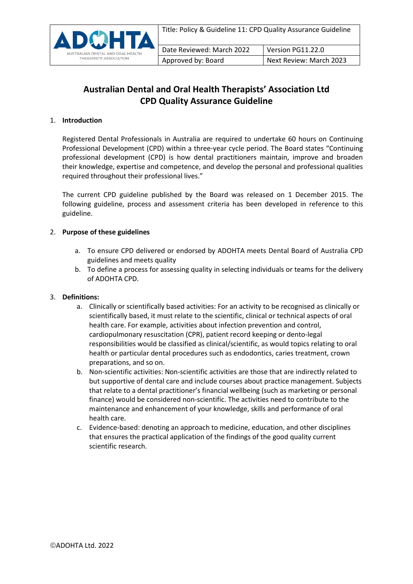

## **Australian Dental and Oral Health Therapists' Association Ltd CPD Quality Assurance Guideline**

## 1. **Introduction**

Registered Dental Professionals in Australia are required to undertake 60 hours on Continuing Professional Development (CPD) within a three-year cycle period. The Board states "Continuing professional development (CPD) is how dental practitioners maintain, improve and broaden their knowledge, expertise and competence, and develop the personal and professional qualities required throughout their professional lives."

The current CPD guideline published by the Board was released on 1 December 2015. The following guideline, process and assessment criteria has been developed in reference to this guideline.

## 2. **Purpose of these guidelines**

- a. To ensure CPD delivered or endorsed by ADOHTA meets Dental Board of Australia CPD guidelines and meets quality
- b. To define a process for assessing quality in selecting individuals or teams for the delivery of ADOHTA CPD.

## 3. **Definitions:**

- a. Clinically or scientifically based activities: For an activity to be recognised as clinically or scientifically based, it must relate to the scientific, clinical or technical aspects of oral health care. For example, activities about infection prevention and control, cardiopulmonary resuscitation (CPR), patient record keeping or dento-legal responsibilities would be classified as clinical/scientific, as would topics relating to oral health or particular dental procedures such as endodontics, caries treatment, crown preparations, and so on.
- b. Non-scientific activities: Non-scientific activities are those that are indirectly related to but supportive of dental care and include courses about practice management. Subjects that relate to a dental practitioner's financial wellbeing (such as marketing or personal finance) would be considered non-scientific. The activities need to contribute to the maintenance and enhancement of your knowledge, skills and performance of oral health care.
- c. Evidence-based: denoting an approach to medicine, education, and other disciplines that ensures the practical application of the findings of the good quality current scientific research.